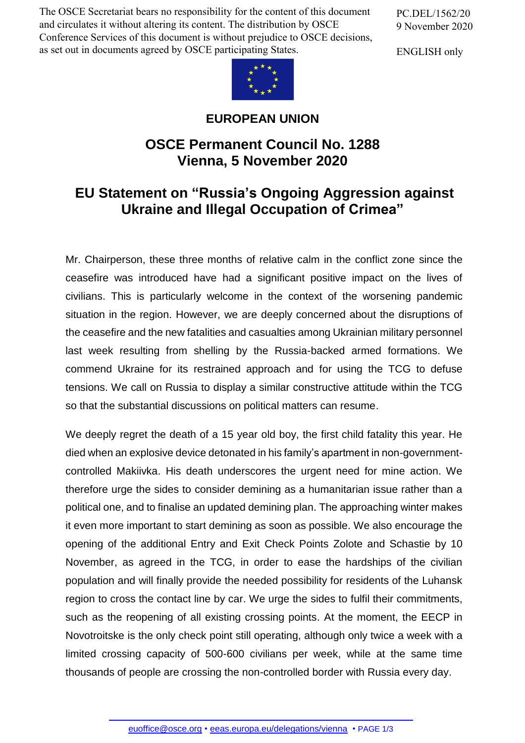The OSCE Secretariat bears no responsibility for the content of this document and circulates it without altering its content. The distribution by OSCE Conference Services of this document is without prejudice to OSCE decisions, as set out in documents agreed by OSCE participating States.

PC.DEL/1562/20 9 November 2020

ENGLISH only



## **EUROPEAN UNION**

## **OSCE Permanent Council No. 1288 Vienna, 5 November 2020**

## **EU Statement on "Russia's Ongoing Aggression against Ukraine and Illegal Occupation of Crimea"**

Mr. Chairperson, these three months of relative calm in the conflict zone since the ceasefire was introduced have had a significant positive impact on the lives of civilians. This is particularly welcome in the context of the worsening pandemic situation in the region. However, we are deeply concerned about the disruptions of the ceasefire and the new fatalities and casualties among Ukrainian military personnel last week resulting from shelling by the Russia-backed armed formations. We commend Ukraine for its restrained approach and for using the TCG to defuse tensions. We call on Russia to display a similar constructive attitude within the TCG so that the substantial discussions on political matters can resume.

We deeply regret the death of a 15 year old boy, the first child fatality this year. He died when an explosive device detonated in his family's apartment in non-governmentcontrolled Makiivka. His death underscores the urgent need for mine action. We therefore urge the sides to consider demining as a humanitarian issue rather than a political one, and to finalise an updated demining plan. The approaching winter makes it even more important to start demining as soon as possible. We also encourage the opening of the additional Entry and Exit Check Points Zolote and Schastie by 10 November, as agreed in the TCG, in order to ease the hardships of the civilian population and will finally provide the needed possibility for residents of the Luhansk region to cross the contact line by car. We urge the sides to fulfil their commitments, such as the reopening of all existing crossing points. At the moment, the EECP in Novotroitske is the only check point still operating, although only twice a week with a limited crossing capacity of 500-600 civilians per week, while at the same time thousands of people are crossing the non-controlled border with Russia every day.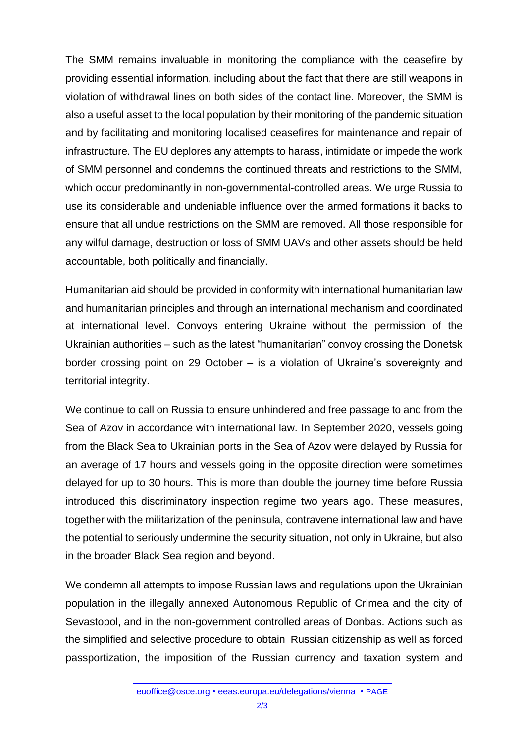The SMM remains invaluable in monitoring the compliance with the ceasefire by providing essential information, including about the fact that there are still weapons in violation of withdrawal lines on both sides of the contact line. Moreover, the SMM is also a useful asset to the local population by their monitoring of the pandemic situation and by facilitating and monitoring localised ceasefires for maintenance and repair of infrastructure. The EU deplores any attempts to harass, intimidate or impede the work of SMM personnel and condemns the continued threats and restrictions to the SMM, which occur predominantly in non-governmental-controlled areas. We urge Russia to use its considerable and undeniable influence over the armed formations it backs to ensure that all undue restrictions on the SMM are removed. All those responsible for any wilful damage, destruction or loss of SMM UAVs and other assets should be held accountable, both politically and financially.

Humanitarian aid should be provided in conformity with international humanitarian law and humanitarian principles and through an international mechanism and coordinated at international level. Convoys entering Ukraine without the permission of the Ukrainian authorities – such as the latest "humanitarian" convoy crossing the Donetsk border crossing point on 29 October – is a violation of Ukraine's sovereignty and territorial integrity.

We continue to call on Russia to ensure unhindered and free passage to and from the Sea of Azov in accordance with international law. In September 2020, vessels going from the Black Sea to Ukrainian ports in the Sea of Azov were delayed by Russia for an average of 17 hours and vessels going in the opposite direction were sometimes delayed for up to 30 hours. This is more than double the journey time before Russia introduced this discriminatory inspection regime two years ago. These measures, together with the militarization of the peninsula, contravene international law and have the potential to seriously undermine the security situation, not only in Ukraine, but also in the broader Black Sea region and beyond.

We condemn all attempts to impose Russian laws and regulations upon the Ukrainian population in the illegally annexed Autonomous Republic of Crimea and the city of Sevastopol, and in the non-government controlled areas of Donbas. Actions such as the simplified and selective procedure to obtain Russian citizenship as well as forced passportization, the imposition of the Russian currency and taxation system and